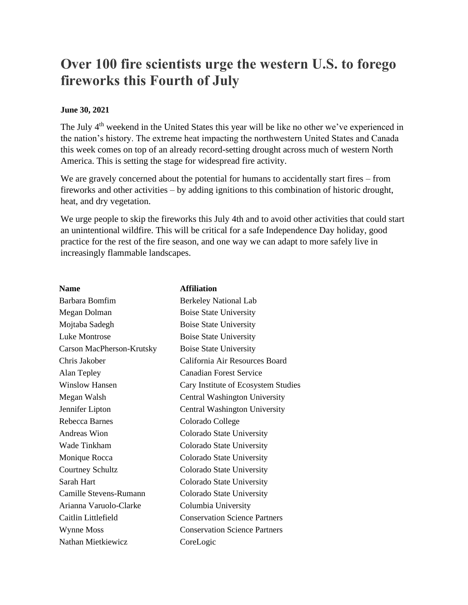## **Over 100 fire scientists urge the western U.S. to forego fireworks this Fourth of July**

## **June 30, 2021**

The July 4<sup>th</sup> weekend in the United States this year will be like no other we've experienced in the nation's history. The extreme heat impacting the northwestern United States and Canada this week comes on top of an already record-setting drought across much of western North America. This is setting the stage for widespread fire activity.

We are gravely concerned about the potential for humans to accidentally start fires – from fireworks and other activities – by adding ignitions to this combination of historic drought, heat, and dry vegetation.

We urge people to skip the fireworks this July 4th and to avoid other activities that could start an unintentional wildfire. This will be critical for a safe Independence Day holiday, good practice for the rest of the fire season, and one way we can adapt to more safely live in increasingly flammable landscapes.

| <b>Name</b>               | <b>Affiliation</b>                   |
|---------------------------|--------------------------------------|
| Barbara Bomfim            | <b>Berkeley National Lab</b>         |
| Megan Dolman              | <b>Boise State University</b>        |
| Mojtaba Sadegh            | <b>Boise State University</b>        |
| Luke Montrose             | <b>Boise State University</b>        |
| Carson MacPherson-Krutsky | <b>Boise State University</b>        |
| Chris Jakober             | California Air Resources Board       |
| Alan Tepley               | <b>Canadian Forest Service</b>       |
| <b>Winslow Hansen</b>     | Cary Institute of Ecosystem Studies  |
| Megan Walsh               | Central Washington University        |
| Jennifer Lipton           | Central Washington University        |
| Rebecca Barnes            | Colorado College                     |
| <b>Andreas Wion</b>       | Colorado State University            |
| Wade Tinkham              | Colorado State University            |
| Monique Rocca             | Colorado State University            |
| Courtney Schultz          | Colorado State University            |
| Sarah Hart                | Colorado State University            |
| Camille Stevens-Rumann    | Colorado State University            |
| Arianna Varuolo-Clarke    | Columbia University                  |
| Caitlin Littlefield       | <b>Conservation Science Partners</b> |
| Wynne Moss                | <b>Conservation Science Partners</b> |
| Nathan Mietkiewicz        | CoreLogic                            |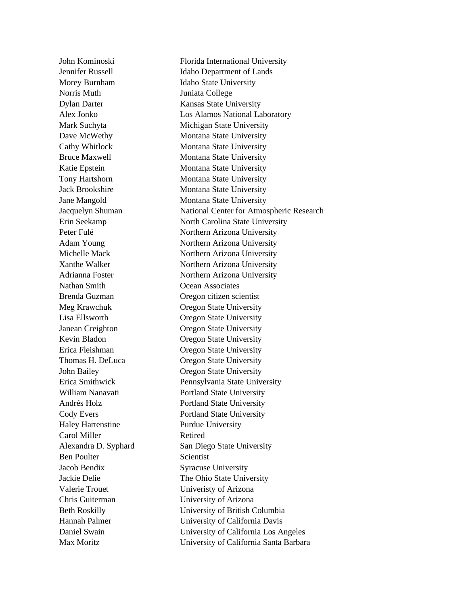Norris Muth Juniata College Nathan Smith Ocean Associates Haley Hartenstine Purdue University Carol Miller Retired Ben Poulter Scientist Jacob Bendix Syracuse University Valerie Trouet University of Arizona Chris Guiterman University of Arizona

John Kominoski Florida International University Jennifer Russell Idaho Department of Lands Morey Burnham Idaho State University Dylan Darter Kansas State University Alex Jonko Los Alamos National Laboratory Mark Suchyta Michigan State University Dave McWethy Montana State University Cathy Whitlock Montana State University Bruce Maxwell Montana State University Katie Epstein Montana State University Tony Hartshorn Montana State University Jack Brookshire Montana State University Jane Mangold Montana State University Jacquelyn Shuman National Center for Atmospheric Research Erin Seekamp North Carolina State University Peter Fulé Northern Arizona University Adam Young Northern Arizona University Michelle Mack Northern Arizona University Xanthe Walker Northern Arizona University Adrianna Foster Northern Arizona University Brenda Guzman Oregon citizen scientist Meg Krawchuk Oregon State University Lisa Ellsworth Oregon State University Janean Creighton Oregon State University Kevin Bladon Oregon State University Erica Fleishman Oregon State University Thomas H. DeLuca **Oregon State University** John Bailey Oregon State University Erica Smithwick Pennsylvania State University William Nanavati Portland State University Andrés Holz Portland State University Cody Evers Portland State University Alexandra D. Syphard San Diego State University Jackie Delie The Ohio State University Beth Roskilly University of British Columbia Hannah Palmer University of California Davis Daniel Swain University of California Los Angeles Max Moritz University of California Santa Barbara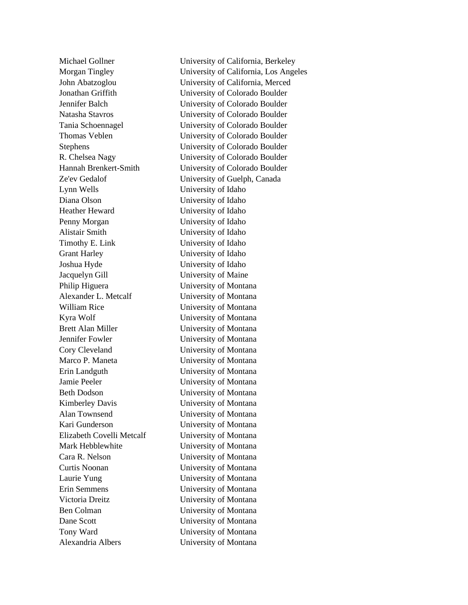Lynn Wells University of Idaho Diana Olson University of Idaho Heather Heward University of Idaho Penny Morgan University of Idaho Alistair Smith University of Idaho Timothy E. Link University of Idaho Grant Harley University of Idaho Joshua Hyde University of Idaho Jacquelyn Gill University of Maine Philip Higuera University of Montana Alexander L. Metcalf University of Montana William Rice University of Montana Kyra Wolf University of Montana Brett Alan Miller University of Montana Jennifer Fowler University of Montana Cory Cleveland University of Montana Marco P. Maneta University of Montana Erin Landguth University of Montana Jamie Peeler University of Montana Beth Dodson University of Montana Kimberley Davis University of Montana Alan Townsend University of Montana Kari Gunderson University of Montana Elizabeth Covelli Metcalf University of Montana Mark Hebblewhite University of Montana Cara R. Nelson University of Montana Curtis Noonan University of Montana Laurie Yung University of Montana Erin Semmens University of Montana Victoria Dreitz University of Montana Ben Colman University of Montana Dane Scott University of Montana Tony Ward University of Montana Alexandria Albers University of Montana

Michael Gollner University of California, Berkeley Morgan Tingley University of California, Los Angeles John Abatzoglou University of California, Merced Jonathan Griffith University of Colorado Boulder Jennifer Balch University of Colorado Boulder Natasha Stavros University of Colorado Boulder Tania Schoennagel University of Colorado Boulder Thomas Veblen University of Colorado Boulder Stephens University of Colorado Boulder R. Chelsea Nagy University of Colorado Boulder Hannah Brenkert-Smith University of Colorado Boulder Ze'ev Gedalof University of Guelph, Canada